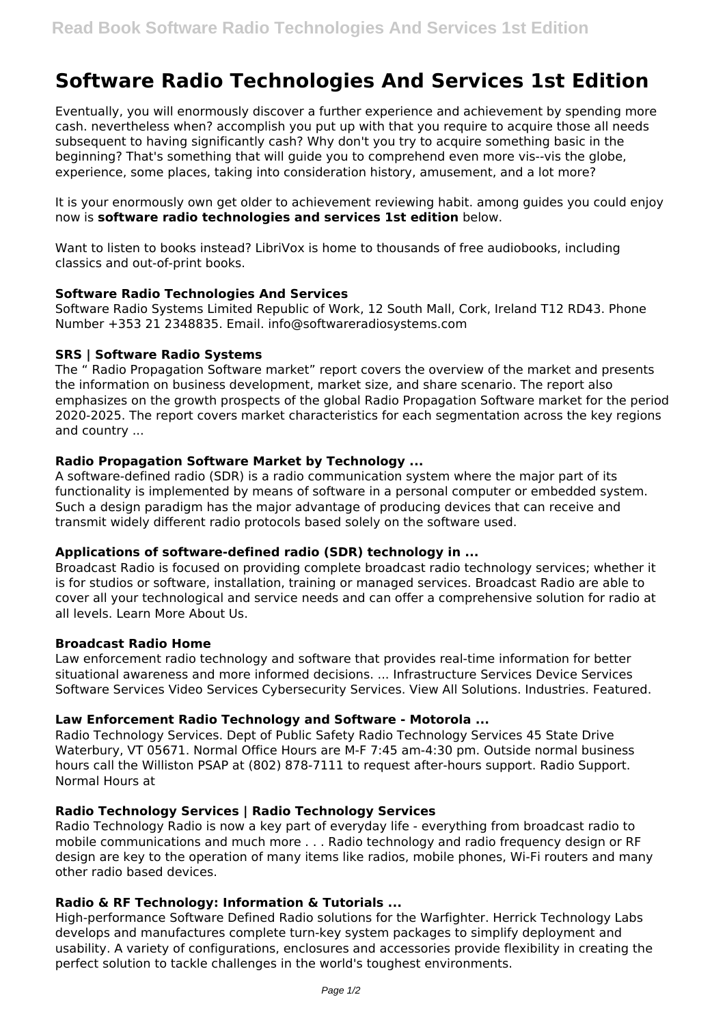# **Software Radio Technologies And Services 1st Edition**

Eventually, you will enormously discover a further experience and achievement by spending more cash. nevertheless when? accomplish you put up with that you require to acquire those all needs subsequent to having significantly cash? Why don't you try to acquire something basic in the beginning? That's something that will guide you to comprehend even more vis--vis the globe, experience, some places, taking into consideration history, amusement, and a lot more?

It is your enormously own get older to achievement reviewing habit. among guides you could enjoy now is **software radio technologies and services 1st edition** below.

Want to listen to books instead? LibriVox is home to thousands of free audiobooks, including classics and out-of-print books.

# **Software Radio Technologies And Services**

Software Radio Systems Limited Republic of Work, 12 South Mall, Cork, Ireland T12 RD43. Phone Number +353 21 2348835. Email. info@softwareradiosystems.com

# **SRS | Software Radio Systems**

The " Radio Propagation Software market" report covers the overview of the market and presents the information on business development, market size, and share scenario. The report also emphasizes on the growth prospects of the global Radio Propagation Software market for the period 2020-2025. The report covers market characteristics for each segmentation across the key regions and country ...

# **Radio Propagation Software Market by Technology ...**

A software-defined radio (SDR) is a radio communication system where the major part of its functionality is implemented by means of software in a personal computer or embedded system. Such a design paradigm has the major advantage of producing devices that can receive and transmit widely different radio protocols based solely on the software used.

## **Applications of software-defined radio (SDR) technology in ...**

Broadcast Radio is focused on providing complete broadcast radio technology services; whether it is for studios or software, installation, training or managed services. Broadcast Radio are able to cover all your technological and service needs and can offer a comprehensive solution for radio at all levels. Learn More About Us.

#### **Broadcast Radio Home**

Law enforcement radio technology and software that provides real-time information for better situational awareness and more informed decisions. ... Infrastructure Services Device Services Software Services Video Services Cybersecurity Services. View All Solutions. Industries. Featured.

#### **Law Enforcement Radio Technology and Software - Motorola ...**

Radio Technology Services. Dept of Public Safety Radio Technology Services 45 State Drive Waterbury, VT 05671. Normal Office Hours are M-F 7:45 am-4:30 pm. Outside normal business hours call the Williston PSAP at (802) 878-7111 to request after-hours support. Radio Support. Normal Hours at

## **Radio Technology Services | Radio Technology Services**

Radio Technology Radio is now a key part of everyday life - everything from broadcast radio to mobile communications and much more . . . Radio technology and radio frequency design or RF design are key to the operation of many items like radios, mobile phones, Wi-Fi routers and many other radio based devices.

#### **Radio & RF Technology: Information & Tutorials ...**

High-performance Software Defined Radio solutions for the Warfighter. Herrick Technology Labs develops and manufactures complete turn-key system packages to simplify deployment and usability. A variety of configurations, enclosures and accessories provide flexibility in creating the perfect solution to tackle challenges in the world's toughest environments.